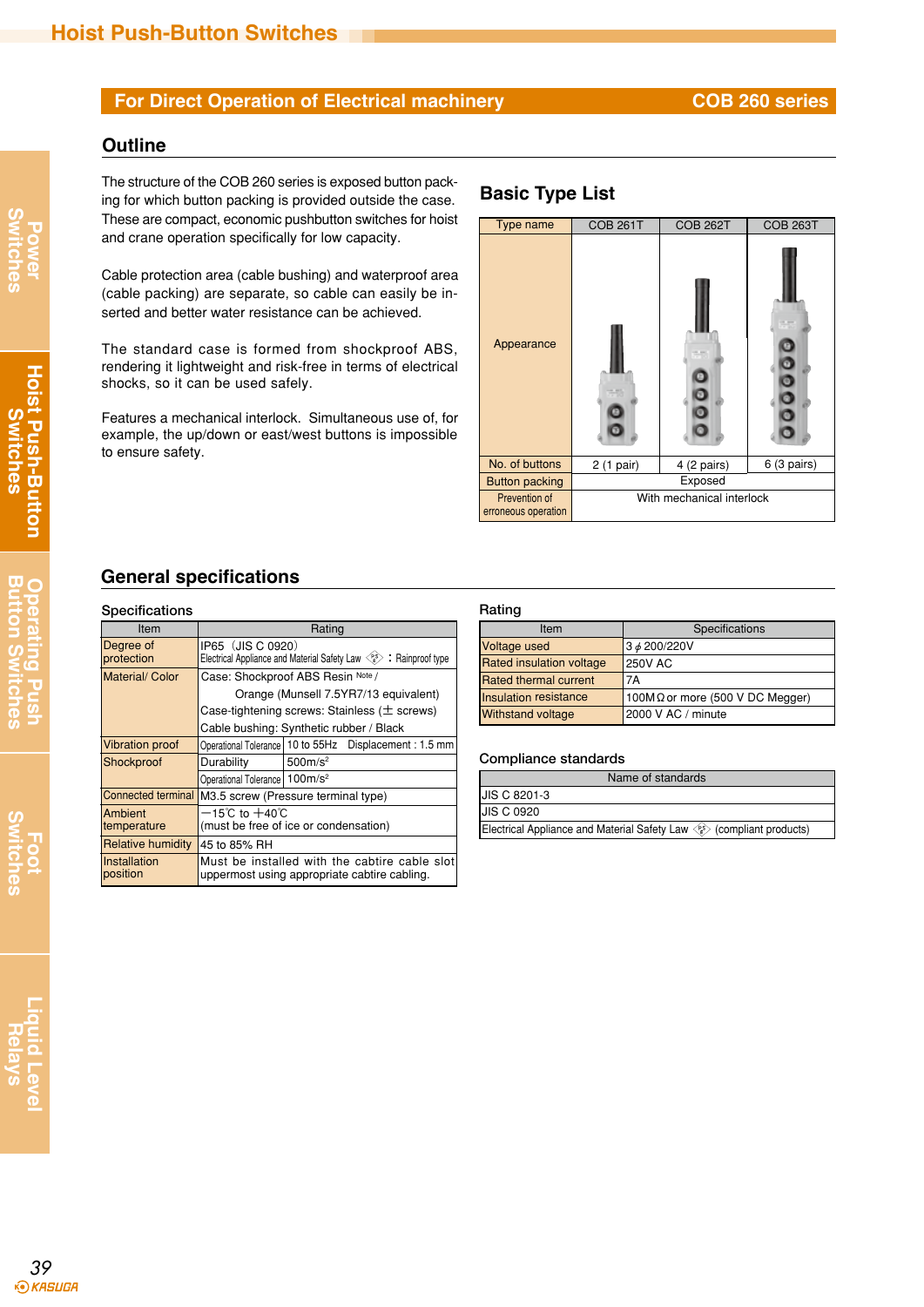# **For Direct Operation of Electrical machinery <b>COB 260 series**

### **Outline**

The structure of the COB 260 series is exposed button pack-**Basic Type List**<br>ing for which button packing is provided outside the case. **Basic Type List** These are compact, economic pushbutton switches for hoist and crane operation specifically for low capacity.

Cable protection area (cable bushing) and waterproof area (cable packing) are separate, so cable can easily be inserted and better water resistance can be achieved.

The standard case is formed from shockproof ABS, rendering it lightweight and risk-free in terms of electrical shocks, so it can be used safely.

Features a mechanical interlock. Simultaneous use of, for example, the up/down or east/west buttons is impossible to ensure safety.



## **General specifications**

### **Specifications Rating**

| ------------                   |                                                                                                            |                     |                                                          |
|--------------------------------|------------------------------------------------------------------------------------------------------------|---------------------|----------------------------------------------------------|
| Item                           | Rating                                                                                                     |                     |                                                          |
| Degree of<br>protection        | IP65 (JIS C 0920)<br>Electrical Appliance and Material Safety Law $\langle \xi^s \rangle$ : Rainproof type |                     |                                                          |
| <b>Material/ Color</b>         | Case: Shockproof ABS Resin Note /                                                                          |                     |                                                          |
|                                | Orange (Munsell 7.5YR7/13 equivalent)                                                                      |                     |                                                          |
|                                | Case-tightening screws: Stainless ( $\pm$ screws)                                                          |                     |                                                          |
|                                | Cable bushing: Synthetic rubber / Black                                                                    |                     |                                                          |
| <b>Vibration proof</b>         |                                                                                                            |                     | Operational Tolerance   10 to 55Hz  Displacement: 1.5 mm |
| Shockproof                     | Durability                                                                                                 | 500m/s <sup>2</sup> |                                                          |
|                                | Operational Tolerance   100m/s <sup>2</sup>                                                                |                     |                                                          |
| <b>Connected terminal</b>      | M3.5 screw (Pressure terminal type)                                                                        |                     |                                                          |
| <b>IAmbient</b><br>temperature | $-15^{\circ}$ C to $+40^{\circ}$ C<br>(must be free of ice or condensation)                                |                     |                                                          |
| Relative humidity              | 45 to 85% RH                                                                                               |                     |                                                          |
| lInstallation<br>position      | Must be installed with the cabtire cable slot<br>uppermost using appropriate cabtire cabling.              |                     |                                                          |

| Item                            | Specifications                          |
|---------------------------------|-----------------------------------------|
| Voltage used                    | 3 <i>¢</i> 200/220V                     |
| <b>Rated insulation voltage</b> | <b>250V AC</b>                          |
| Rated thermal current           | 7Α                                      |
| Insulation resistance           | 100M $\Omega$ or more (500 V DC Megger) |
| <b>Withstand voltage</b>        | 2000 V AC / minute                      |

### **Compliance standards**

| Name of standards                                                                         |
|-------------------------------------------------------------------------------------------|
| <b>JIS C 8201-3</b>                                                                       |
| <b>JIS C 0920</b>                                                                         |
| Electrical Appliance and Material Safety Law $\langle\hat{E}\rangle$ (compliant products) |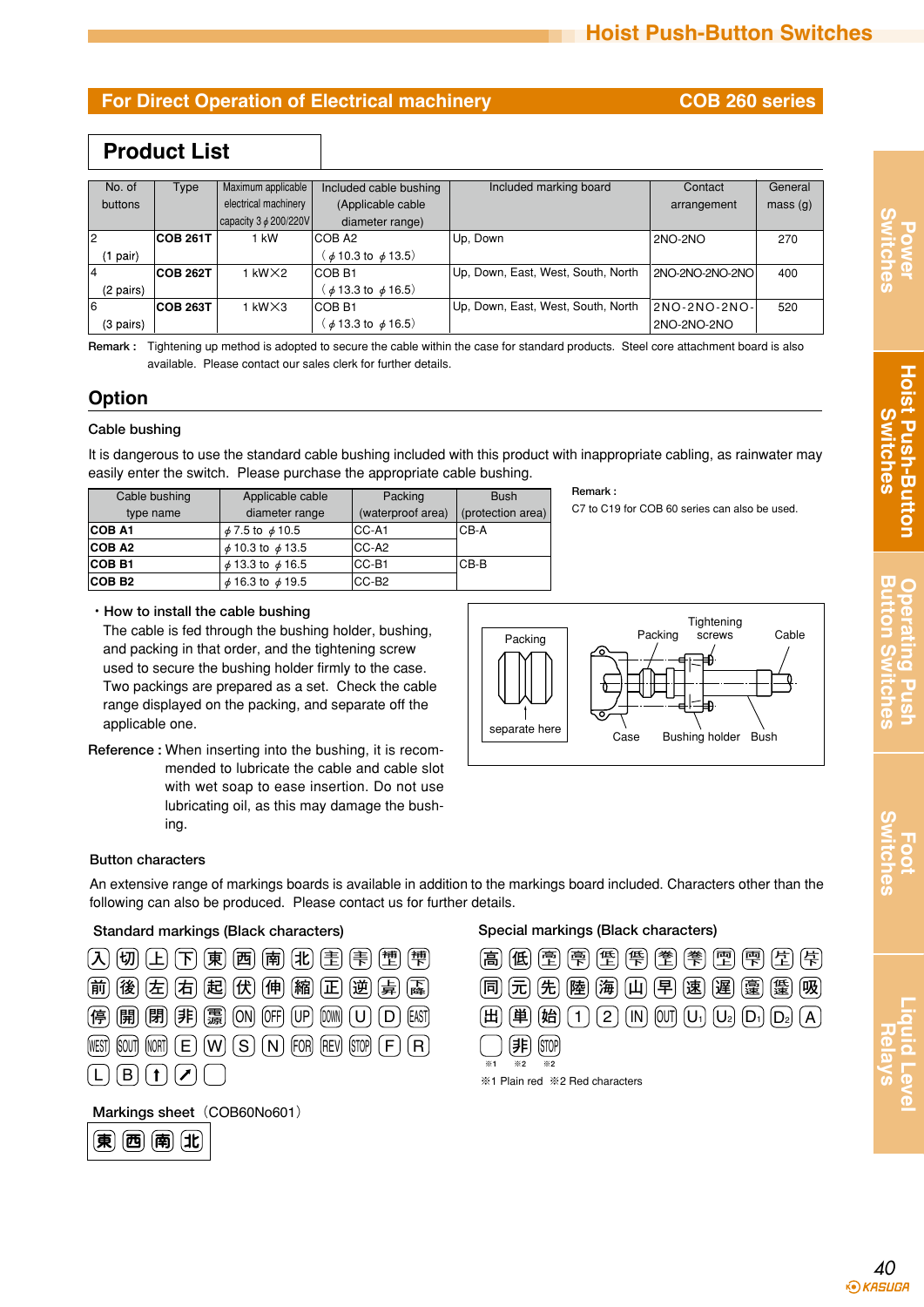## **For Direct Operation of Electrical machinery <b>COB 260 series**

# **Product List**

| No. of    | Type            | Maximum applicable                 | Included cable bushing              | Included marking board             | Contact         | General             |
|-----------|-----------------|------------------------------------|-------------------------------------|------------------------------------|-----------------|---------------------|
| buttons   |                 | electrical machinery               | (Applicable cable                   |                                    | arrangement     | mass <sub>(g)</sub> |
|           |                 | $\vert$ capacity 3 $\phi$ 200/220V | diameter range)                     |                                    |                 |                     |
|           | <b>COB 261T</b> | 1 kW                               | ICOB A2                             | Up. Down                           | 2NO-2NO         | 270                 |
| (1 pair)  |                 |                                    | $(\phi 10.3 \text{ to } \phi 13.5)$ |                                    |                 |                     |
|           | <b>COB 262T</b> | $1$ kW $\times$ 2                  | ICOB B1                             | Up, Down, East, West, South, North | 2NO-2NO-2NO-2NO | 400                 |
| (2 pairs) |                 |                                    | $(\phi 13.3 \text{ to } \phi 16.5)$ |                                    |                 |                     |
| l6        | <b>COB 263T</b> | $1$ kW $\times$ 3                  | ICOB B1                             | Up. Down, East, West, South, North | 2NO-2NO-2NO-    | 520                 |
| (3 pairs) |                 |                                    | $($ $\phi$ 13.3 to $\phi$ 16.5)     |                                    | 2NO-2NO-2NO     |                     |

**Remark :** Tightening up method is adopted to secure the cable within the case for standard products. Steel core attachment board is also available. Please contact our sales clerk for further details.

## **Option**

### **Cable bushing**

It is dangerous to use the standard cable bushing included with this product with inappropriate cabling, as rainwater may easily enter the switch. Please purchase the appropriate cable bushing.

| Cable bushing | Applicable cable           | Packing           | <b>Bush</b>       |
|---------------|----------------------------|-------------------|-------------------|
| type name     | diameter range             | (waterproof area) | (protection area) |
| <b>COB A1</b> | $\phi$ 7.5 to $\phi$ 10.5  | ICC-A1            | $CB-A$            |
| <b>COB A2</b> | $\phi$ 10.3 to $\phi$ 13.5 | CC-A2             |                   |
| <b>COB B1</b> | $\phi$ 13.3 to $\phi$ 16.5 | CC-B1             | $CB-B$            |
| <b>COB B2</b> | $\phi$ 16.3 to $\phi$ 19.5 | CC-B <sub>2</sub> |                   |

**Remark :**

C7 to C19 for COB 60 series can also be used.

### **・How to install the cable bushing**

The cable is fed through the bushing holder, bushing, and packing in that order, and the tightening screw used to secure the bushing holder firmly to the case. Two packings are prepared as a set. Check the cable range displayed on the packing, and separate off the applicable one.

**Reference :** When inserting into the bushing, it is recommended to lubricate the cable and cable slot with wet soap to ease insertion. Do not use lubricating oil, as this may damage the bushing.



### **Button characters**

 $\left(\mathbf{\bar{\pi}}\right)\left(\mathbf{\bar{m}}\right)\left(\mathbf{\bar{\pi}}\right)\left(\mathbf{1}\mathbf{t}\right)$ 

An extensive range of markings boards is available in addition to the markings board included. Characters other than the following can also be produced. Please contact us for further details.

### **Standard markings (Black characters) Special markings (Black characters)**

| 害<br>東<br>辅上<br>美<br>儒<br>南<br>北<br>西                                 | 巻上<br>傈<br>膏<br>低上<br>壹<br>高<br>低                                  |
|-----------------------------------------------------------------------|--------------------------------------------------------------------|
| 右<br>起<br>縮<br>伸<br>逆<br>下降<br>伏<br>正<br>鼻<br>前<br>左<br>後             | 海<br>早<br>先<br>陸<br>同                                              |
| 震源<br>停<br>俳<br>閕<br>閉<br>ON<br>(EAST <sup>)</sup><br>0FF             | 単<br>始<br>出<br><b>OUT</b><br>IN<br>2                               |
| (FOR)<br>(STOP)<br>R<br>(Rev<br><b>NORT</b><br>S<br>WEST<br>W<br>ומאו |                                                                    |
|                                                                       | $\times 1$<br>$\times 2$<br>$*2$<br>※1 Plain red ※2 Red characters |
| Markings sheet (COB60No601)                                           |                                                                    |

| $\left[\frac{1}{2}\right]\left[\frac{1}{2}\right]\left[\frac{1}{2}\right]\left[\frac{1}{2}\right]\left[\frac{1}{2}\right]$ $\left[\frac{1}{2}\right]\left[\frac{1}{2}\right]\left[\frac{1}{2}\right]\left[\frac{1}{2}\right]\left[\frac{1}{2}\right]$                                                                                                                                                                                                                  |
|------------------------------------------------------------------------------------------------------------------------------------------------------------------------------------------------------------------------------------------------------------------------------------------------------------------------------------------------------------------------------------------------------------------------------------------------------------------------|
| $\left[\widehat{\pi}\right]\left[\widehat{\pi}\right]\left[\widehat{\pi}\right]\left[\widehat{\pi}\right]\left[\widehat{\mu}\right]\left[\widehat{\pi}\right]\left[\widehat{\pi}\right]\left[\widehat{\pi}\right]\left[\widehat{\pi}\right]$<br>'吸〕                                                                                                                                                                                                                    |
| $[\frac{1}{2} \cdot \frac{1}{2} \cdot \frac{1}{2} \cdot \frac{1}{2} \cdot \frac{1}{2} \cdot \frac{1}{2} \cdot \frac{1}{2} \cdot \frac{1}{2} \cdot \frac{1}{2} \cdot \frac{1}{2} \cdot \frac{1}{2} \cdot \frac{1}{2} \cdot \frac{1}{2} \cdot \frac{1}{2} \cdot \frac{1}{2} \cdot \frac{1}{2} \cdot \frac{1}{2} \cdot \frac{1}{2} \cdot \frac{1}{2} \cdot \frac{1}{2} \cdot \frac{1}{2} \cdot \frac{1}{2} \cdot \frac{1}{2} \cdot \frac{1}{2} \cdot \frac{1$<br>単<br>(H) |
| $\times 1$<br>$*2$<br>$\times 2$                                                                                                                                                                                                                                                                                                                                                                                                                                       |
| ※1 Plain red ※2 Red characters                                                                                                                                                                                                                                                                                                                                                                                                                                         |



**Foot**<br>Switches **Switches**